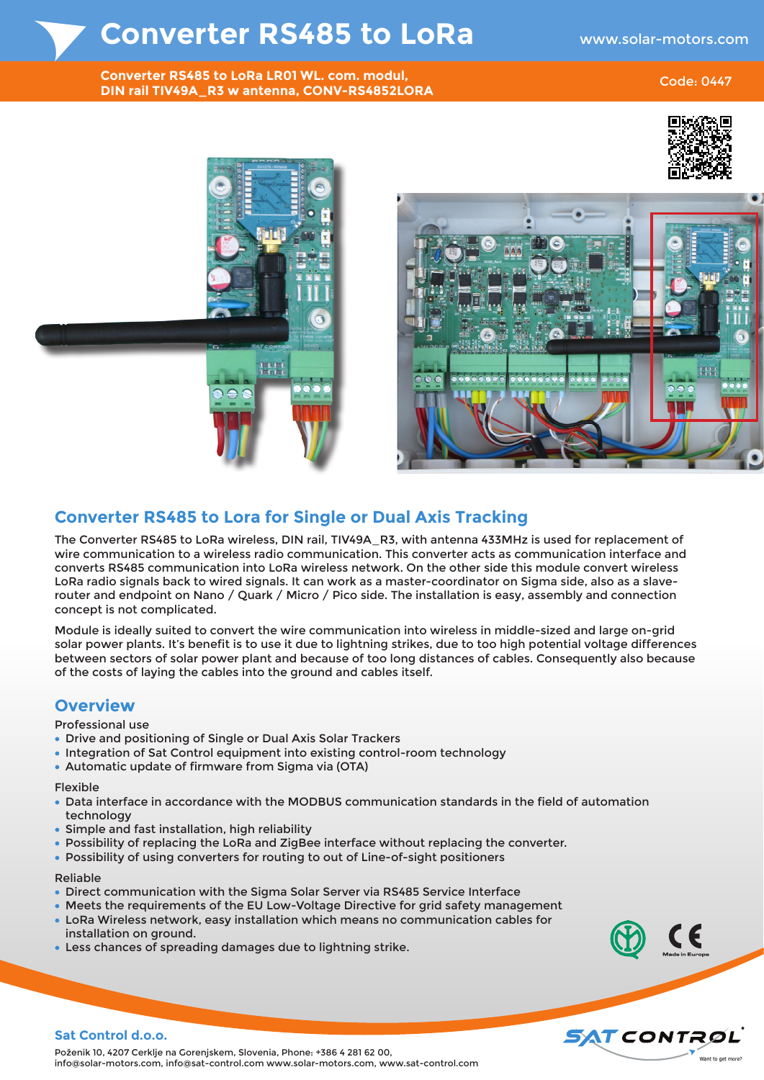## **Converter RS485 to LoRa**

**Converter RS485 to LoRa LR01 WL. com. modul, DIN rail TIV49A\_R3 w antenna, CONV-RS4852LORA**

#### Code: 0447





### **Converter RS485 to Lora for Single or Dual Axis Tracking**

The Converter RS485 to LoRa wireless, DIN rail, TIV49A R3, with antenna 433MHz is used for replacement of wire communication to a wireless radio communication. This converter acts as communication interface and converts RS485 communication into LoRa wireless network. On the other side this module convert wireless LoRa radio signals back to wired signals. It can work as a master-coordinator on Sigma side, also as a slaverouter and endpoint on Nano / Quark / Micro / Pico side. The installation is easy, assembly and connection concept is not complicated.

Module is ideally suited to convert the wire communication into wireless in middle-sized and large on-grid solar power plants. It's benefit is to use it due to lightning strikes, due to too high potential voltage differences between sectors of solar power plant and because of too long distances of cables. Consequently also because of the costs of laying the cables into the ground and cables itself.

### **Overview**

#### Professional use

- Drive and positioning of Single or Dual Axis Solar Trackers
- Integration of Sat Control equipment into existing control-room technology
- Automatic update of firmware from Sigma via (OTA)

#### Flexible

- Data interface in accordance with the MODBUS communication standards in the field of automation technology
- Simple and fast installation, high reliability
- Possibility of replacing the LoRa and ZigBee interface without replacing the converter.
- Possibility of using converters for routing to out of Line-of-sight positioners

#### Reliable

- Direct communication with the Sigma Solar Server via RS485 Service Interface
- Meets the requirements of the EU Low-Voltage Directive for grid safety management
- LoRa Wireless network, easy installation which means no communication cables for installation on ground.
- Less chances of spreading damages due to lightning strike.





#### **Sat Control d.o.o.**

Poženik 10, 4207 Cerklje na Gorenjskem, Slovenia, Phone: +386 4 281 62 00, info@solar-motors.com, info@sat-control.com www.solar-motors.com, www.sat-control.com